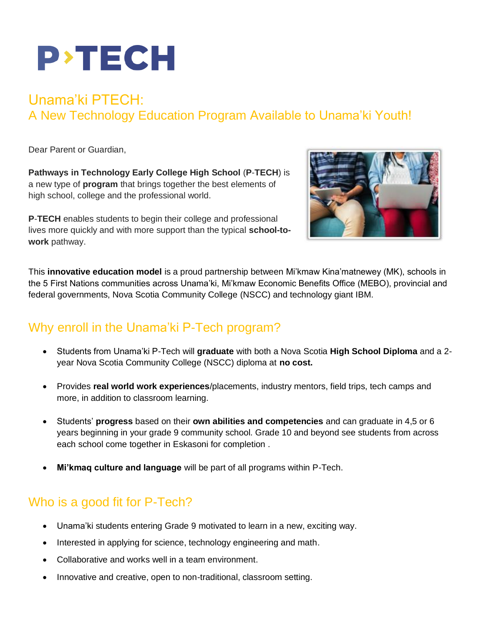

# Unama'ki PTECH: A New Technology Education Program Available to Unama'ki Youth!

Dear Parent or Guardian,

**Pathways in Technology Early College High School** (**P**-**TECH**) is a new type of **program** that brings together the best elements of high school, college and the professional world.

**P**-**TECH** enables students to begin their college and professional lives more quickly and with more support than the typical **school-towork** pathway.



This **innovative education model** is a proud partnership between Mi'kmaw Kina'matnewey (MK), schools in the 5 First Nations communities across Unama'ki, Mi'kmaw Economic Benefits Office (MEBO), provincial and federal governments, Nova Scotia Community College (NSCC) and technology giant IBM.

#### Why enroll in the Unama'ki P-Tech program?

- Students from Unama'ki P-Tech will **graduate** with both a Nova Scotia **High School Diploma** and a 2 year Nova Scotia Community College (NSCC) diploma at **no cost.**
- Provides **real world work experiences**/placements, industry mentors, field trips, tech camps and more, in addition to classroom learning.
- Students' **progress** based on their **own abilities and competencies** and can graduate in 4,5 or 6 years beginning in your grade 9 community school. Grade 10 and beyond see students from across each school come together in Eskasoni for completion .
- **Mi'kmaq culture and language** will be part of all programs within P-Tech.

## Who is a good fit for P-Tech?

- Unama'ki students entering Grade 9 motivated to learn in a new, exciting way.
- Interested in applying for science, technology engineering and math.
- Collaborative and works well in a team environment.
- Innovative and creative, open to non-traditional, classroom setting.